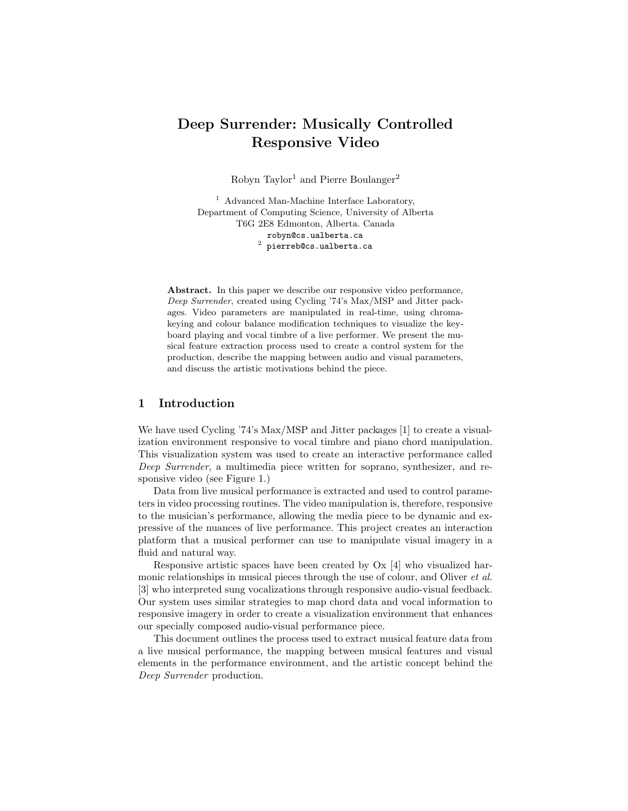# Deep Surrender: Musically Controlled Responsive Video

Robyn Taylor<sup>1</sup> and Pierre Boulanger<sup>2</sup>

<sup>1</sup> Advanced Man-Machine Interface Laboratory, Department of Computing Science, University of Alberta T6G 2E8 Edmonton, Alberta. Canada robyn@cs.ualberta.ca  $^2$  pierreb@cs.ualberta.ca

Abstract. In this paper we describe our responsive video performance, Deep Surrender, created using Cycling '74's Max/MSP and Jitter packages. Video parameters are manipulated in real-time, using chromakeying and colour balance modification techniques to visualize the keyboard playing and vocal timbre of a live performer. We present the musical feature extraction process used to create a control system for the production, describe the mapping between audio and visual parameters, and discuss the artistic motivations behind the piece.

# 1 Introduction

We have used Cycling '74's Max/MSP and Jitter packages [1] to create a visualization environment responsive to vocal timbre and piano chord manipulation. This visualization system was used to create an interactive performance called Deep Surrender, a multimedia piece written for soprano, synthesizer, and responsive video (see Figure 1.)

Data from live musical performance is extracted and used to control parameters in video processing routines. The video manipulation is, therefore, responsive to the musician's performance, allowing the media piece to be dynamic and expressive of the nuances of live performance. This project creates an interaction platform that a musical performer can use to manipulate visual imagery in a fluid and natural way.

Responsive artistic spaces have been created by Ox [4] who visualized harmonic relationships in musical pieces through the use of colour, and Oliver et al. [3] who interpreted sung vocalizations through responsive audio-visual feedback. Our system uses similar strategies to map chord data and vocal information to responsive imagery in order to create a visualization environment that enhances our specially composed audio-visual performance piece.

This document outlines the process used to extract musical feature data from a live musical performance, the mapping between musical features and visual elements in the performance environment, and the artistic concept behind the Deep Surrender production.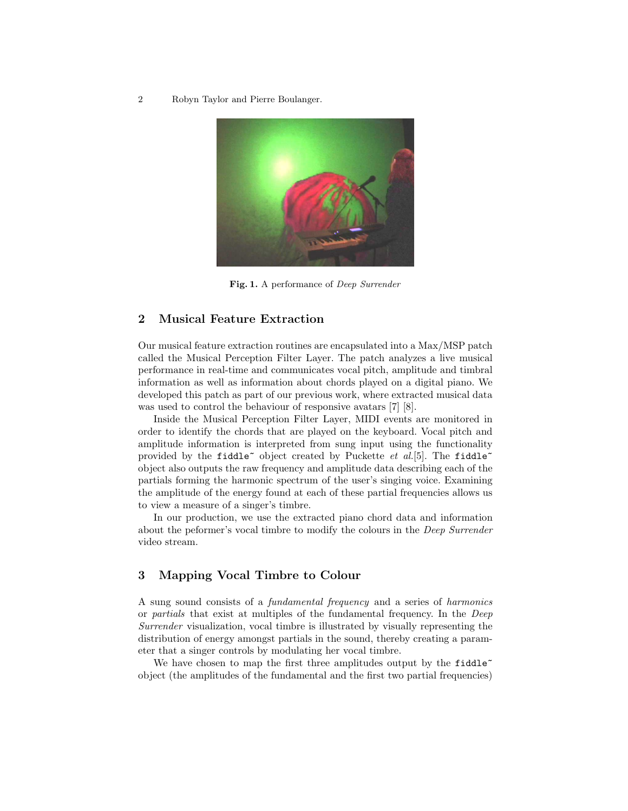2 Robyn Taylor and Pierre Boulanger.



Fig. 1. A performance of Deep Surrender

# 2 Musical Feature Extraction

Our musical feature extraction routines are encapsulated into a Max/MSP patch called the Musical Perception Filter Layer. The patch analyzes a live musical performance in real-time and communicates vocal pitch, amplitude and timbral information as well as information about chords played on a digital piano. We developed this patch as part of our previous work, where extracted musical data was used to control the behaviour of responsive avatars [7] [8].

Inside the Musical Perception Filter Layer, MIDI events are monitored in order to identify the chords that are played on the keyboard. Vocal pitch and amplitude information is interpreted from sung input using the functionality provided by the fiddle<sup> $\sim$ </sup> object created by Puckette *et al.*[5]. The fiddle $\sim$ object also outputs the raw frequency and amplitude data describing each of the partials forming the harmonic spectrum of the user's singing voice. Examining the amplitude of the energy found at each of these partial frequencies allows us to view a measure of a singer's timbre.

In our production, we use the extracted piano chord data and information about the peformer's vocal timbre to modify the colours in the Deep Surrender video stream.

# 3 Mapping Vocal Timbre to Colour

A sung sound consists of a fundamental frequency and a series of harmonics or partials that exist at multiples of the fundamental frequency. In the Deep Surrender visualization, vocal timbre is illustrated by visually representing the distribution of energy amongst partials in the sound, thereby creating a parameter that a singer controls by modulating her vocal timbre.

We have chosen to map the first three amplitudes output by the fiddle<sup>\*</sup> object (the amplitudes of the fundamental and the first two partial frequencies)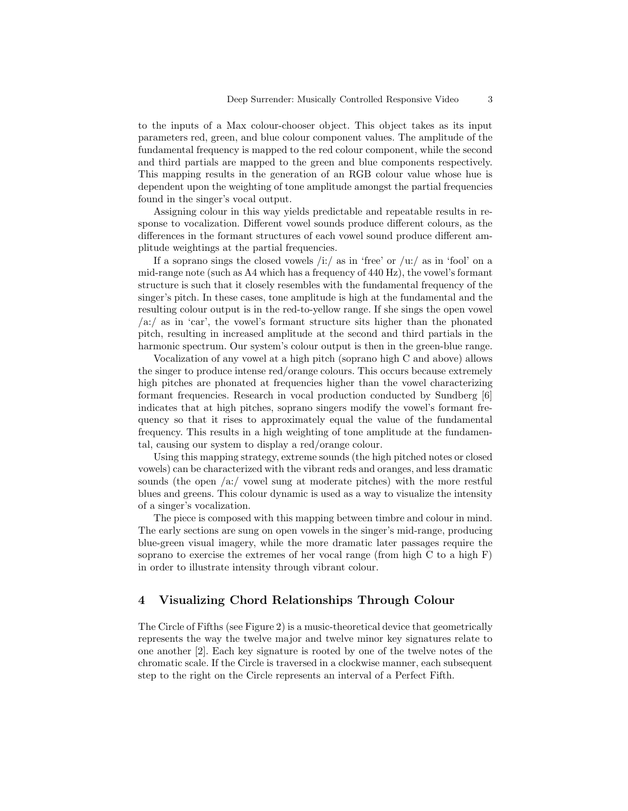to the inputs of a Max colour-chooser object. This object takes as its input parameters red, green, and blue colour component values. The amplitude of the fundamental frequency is mapped to the red colour component, while the second and third partials are mapped to the green and blue components respectively. This mapping results in the generation of an RGB colour value whose hue is dependent upon the weighting of tone amplitude amongst the partial frequencies found in the singer's vocal output.

Assigning colour in this way yields predictable and repeatable results in response to vocalization. Different vowel sounds produce different colours, as the differences in the formant structures of each vowel sound produce different amplitude weightings at the partial frequencies.

If a soprano sings the closed vowels /i:/ as in 'free' or /u:/ as in 'fool' on a mid-range note (such as A4 which has a frequency of 440 Hz), the vowel's formant structure is such that it closely resembles with the fundamental frequency of the singer's pitch. In these cases, tone amplitude is high at the fundamental and the resulting colour output is in the red-to-yellow range. If she sings the open vowel /a:/ as in 'car', the vowel's formant structure sits higher than the phonated pitch, resulting in increased amplitude at the second and third partials in the harmonic spectrum. Our system's colour output is then in the green-blue range.

Vocalization of any vowel at a high pitch (soprano high C and above) allows the singer to produce intense red/orange colours. This occurs because extremely high pitches are phonated at frequencies higher than the vowel characterizing formant frequencies. Research in vocal production conducted by Sundberg [6] indicates that at high pitches, soprano singers modify the vowel's formant frequency so that it rises to approximately equal the value of the fundamental frequency. This results in a high weighting of tone amplitude at the fundamental, causing our system to display a red/orange colour.

Using this mapping strategy, extreme sounds (the high pitched notes or closed vowels) can be characterized with the vibrant reds and oranges, and less dramatic sounds (the open  $\alpha$ :/ vowel sung at moderate pitches) with the more restful blues and greens. This colour dynamic is used as a way to visualize the intensity of a singer's vocalization.

The piece is composed with this mapping between timbre and colour in mind. The early sections are sung on open vowels in the singer's mid-range, producing blue-green visual imagery, while the more dramatic later passages require the soprano to exercise the extremes of her vocal range (from high C to a high F) in order to illustrate intensity through vibrant colour.

## 4 Visualizing Chord Relationships Through Colour

The Circle of Fifths (see Figure 2) is a music-theoretical device that geometrically represents the way the twelve major and twelve minor key signatures relate to one another [2]. Each key signature is rooted by one of the twelve notes of the chromatic scale. If the Circle is traversed in a clockwise manner, each subsequent step to the right on the Circle represents an interval of a Perfect Fifth.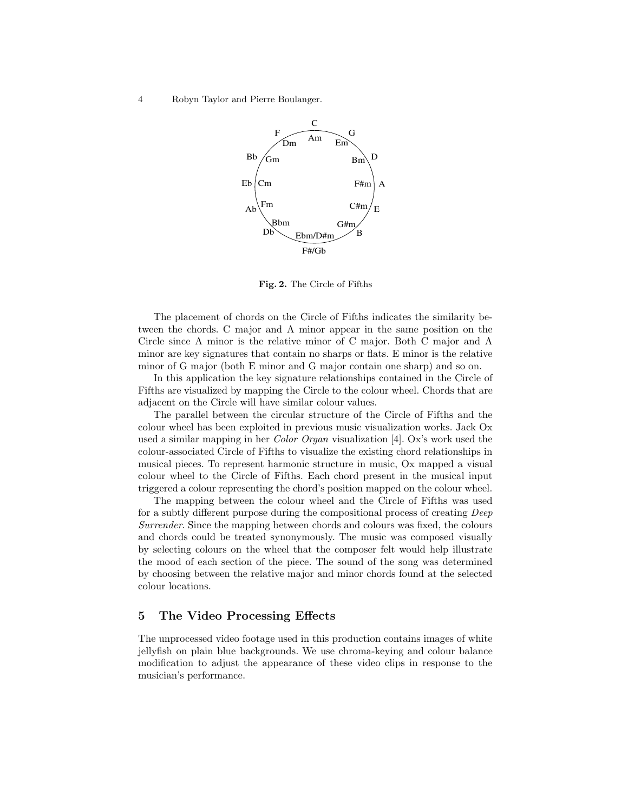4 Robyn Taylor and Pierre Boulanger.



Fig. 2. The Circle of Fifths

The placement of chords on the Circle of Fifths indicates the similarity between the chords. C major and A minor appear in the same position on the Circle since A minor is the relative minor of C major. Both C major and A minor are key signatures that contain no sharps or flats. E minor is the relative minor of G major (both E minor and G major contain one sharp) and so on.

In this application the key signature relationships contained in the Circle of Fifths are visualized by mapping the Circle to the colour wheel. Chords that are adjacent on the Circle will have similar colour values.

The parallel between the circular structure of the Circle of Fifths and the colour wheel has been exploited in previous music visualization works. Jack Ox used a similar mapping in her Color Organ visualization [4]. Ox's work used the colour-associated Circle of Fifths to visualize the existing chord relationships in musical pieces. To represent harmonic structure in music, Ox mapped a visual colour wheel to the Circle of Fifths. Each chord present in the musical input triggered a colour representing the chord's position mapped on the colour wheel.

The mapping between the colour wheel and the Circle of Fifths was used for a subtly different purpose during the compositional process of creating Deep Surrender. Since the mapping between chords and colours was fixed, the colours and chords could be treated synonymously. The music was composed visually by selecting colours on the wheel that the composer felt would help illustrate the mood of each section of the piece. The sound of the song was determined by choosing between the relative major and minor chords found at the selected colour locations.

# 5 The Video Processing Effects

The unprocessed video footage used in this production contains images of white jellyfish on plain blue backgrounds. We use chroma-keying and colour balance modification to adjust the appearance of these video clips in response to the musician's performance.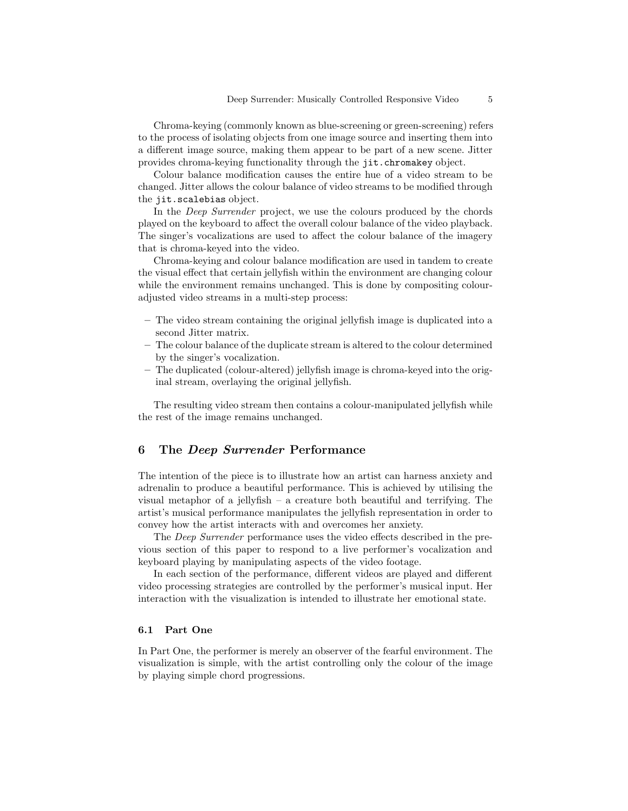Chroma-keying (commonly known as blue-screening or green-screening) refers to the process of isolating objects from one image source and inserting them into a different image source, making them appear to be part of a new scene. Jitter provides chroma-keying functionality through the jit.chromakey object.

Colour balance modification causes the entire hue of a video stream to be changed. Jitter allows the colour balance of video streams to be modified through the jit.scalebias object.

In the Deep Surrender project, we use the colours produced by the chords played on the keyboard to affect the overall colour balance of the video playback. The singer's vocalizations are used to affect the colour balance of the imagery that is chroma-keyed into the video.

Chroma-keying and colour balance modification are used in tandem to create the visual effect that certain jellyfish within the environment are changing colour while the environment remains unchanged. This is done by compositing colouradjusted video streams in a multi-step process:

- The video stream containing the original jellyfish image is duplicated into a second Jitter matrix.
- The colour balance of the duplicate stream is altered to the colour determined by the singer's vocalization.
- The duplicated (colour-altered) jellyfish image is chroma-keyed into the original stream, overlaying the original jellyfish.

The resulting video stream then contains a colour-manipulated jellyfish while the rest of the image remains unchanged.

# 6 The Deep Surrender Performance

The intention of the piece is to illustrate how an artist can harness anxiety and adrenalin to produce a beautiful performance. This is achieved by utilising the visual metaphor of a jellyfish – a creature both beautiful and terrifying. The artist's musical performance manipulates the jellyfish representation in order to convey how the artist interacts with and overcomes her anxiety.

The Deep Surrender performance uses the video effects described in the previous section of this paper to respond to a live performer's vocalization and keyboard playing by manipulating aspects of the video footage.

In each section of the performance, different videos are played and different video processing strategies are controlled by the performer's musical input. Her interaction with the visualization is intended to illustrate her emotional state.

#### 6.1 Part One

In Part One, the performer is merely an observer of the fearful environment. The visualization is simple, with the artist controlling only the colour of the image by playing simple chord progressions.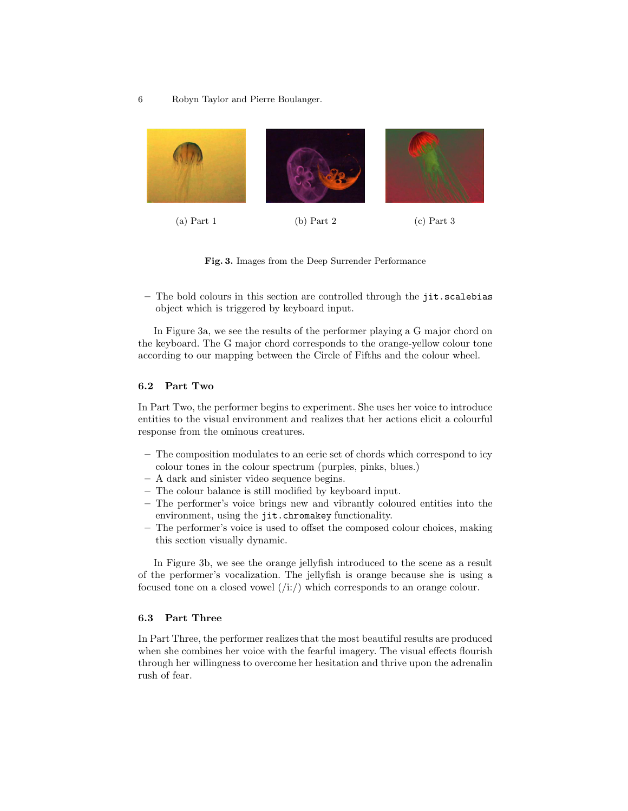#### 6 Robyn Taylor and Pierre Boulanger.



Fig. 3. Images from the Deep Surrender Performance

– The bold colours in this section are controlled through the  $\text{jit}$  scalebias object which is triggered by keyboard input.

In Figure 3a, we see the results of the performer playing a G major chord on the keyboard. The G major chord corresponds to the orange-yellow colour tone according to our mapping between the Circle of Fifths and the colour wheel.

#### 6.2 Part Two

In Part Two, the performer begins to experiment. She uses her voice to introduce entities to the visual environment and realizes that her actions elicit a colourful response from the ominous creatures.

- The composition modulates to an eerie set of chords which correspond to icy colour tones in the colour spectrum (purples, pinks, blues.)
- A dark and sinister video sequence begins.
- The colour balance is still modified by keyboard input.
- The performer's voice brings new and vibrantly coloured entities into the environment, using the jit.chromakey functionality.
- The performer's voice is used to offset the composed colour choices, making this section visually dynamic.

In Figure 3b, we see the orange jellyfish introduced to the scene as a result of the performer's vocalization. The jellyfish is orange because she is using a focused tone on a closed vowel  $(j:')$  which corresponds to an orange colour.

#### 6.3 Part Three

In Part Three, the performer realizes that the most beautiful results are produced when she combines her voice with the fearful imagery. The visual effects flourish through her willingness to overcome her hesitation and thrive upon the adrenalin rush of fear.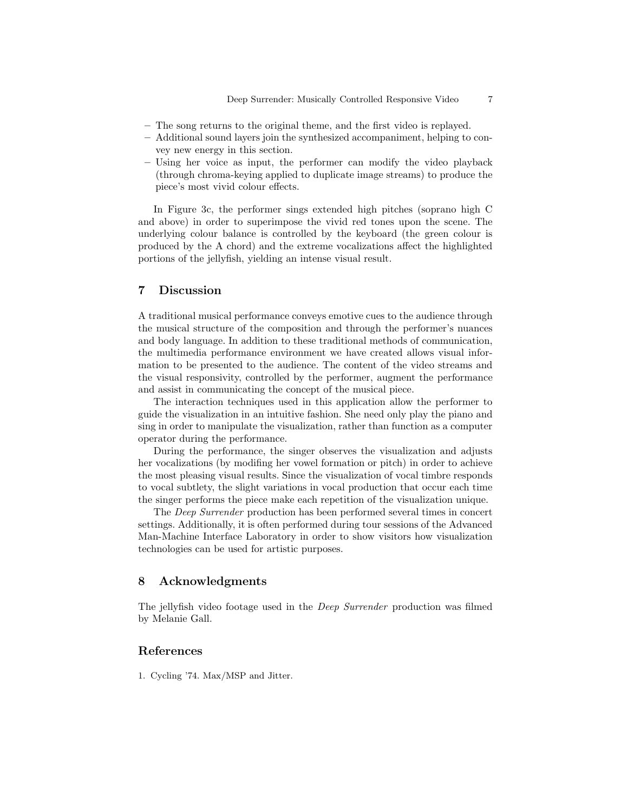- The song returns to the original theme, and the first video is replayed.
- Additional sound layers join the synthesized accompaniment, helping to convey new energy in this section.
- Using her voice as input, the performer can modify the video playback (through chroma-keying applied to duplicate image streams) to produce the piece's most vivid colour effects.

In Figure 3c, the performer sings extended high pitches (soprano high C and above) in order to superimpose the vivid red tones upon the scene. The underlying colour balance is controlled by the keyboard (the green colour is produced by the A chord) and the extreme vocalizations affect the highlighted portions of the jellyfish, yielding an intense visual result.

### 7 Discussion

A traditional musical performance conveys emotive cues to the audience through the musical structure of the composition and through the performer's nuances and body language. In addition to these traditional methods of communication, the multimedia performance environment we have created allows visual information to be presented to the audience. The content of the video streams and the visual responsivity, controlled by the performer, augment the performance and assist in communicating the concept of the musical piece.

The interaction techniques used in this application allow the performer to guide the visualization in an intuitive fashion. She need only play the piano and sing in order to manipulate the visualization, rather than function as a computer operator during the performance.

During the performance, the singer observes the visualization and adjusts her vocalizations (by modifing her vowel formation or pitch) in order to achieve the most pleasing visual results. Since the visualization of vocal timbre responds to vocal subtlety, the slight variations in vocal production that occur each time the singer performs the piece make each repetition of the visualization unique.

The Deep Surrender production has been performed several times in concert settings. Additionally, it is often performed during tour sessions of the Advanced Man-Machine Interface Laboratory in order to show visitors how visualization technologies can be used for artistic purposes.

#### 8 Acknowledgments

The jellyfish video footage used in the Deep Surrender production was filmed by Melanie Gall.

## References

1. Cycling '74. Max/MSP and Jitter.